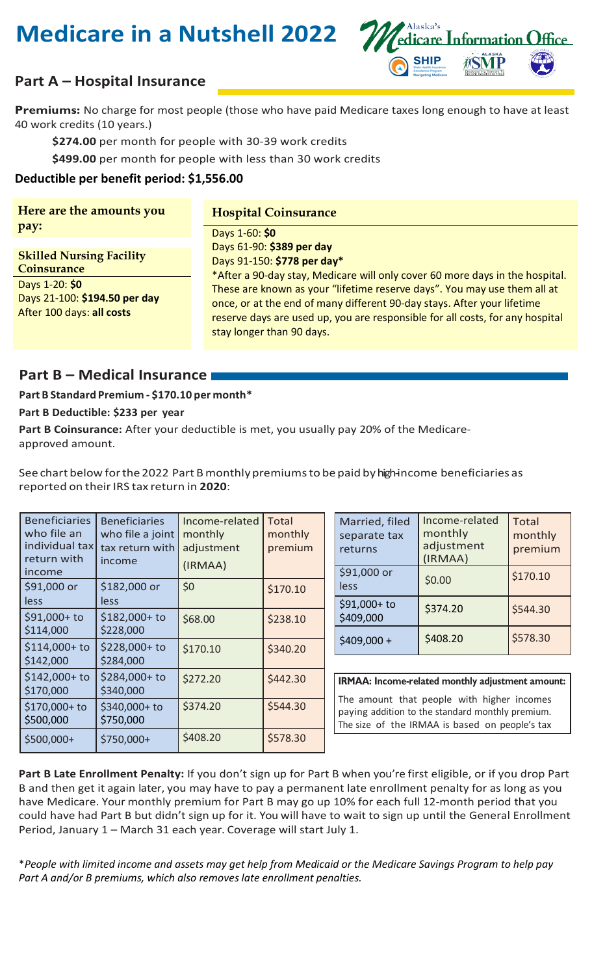# **Medicare in a Nutshell 2022**



# **Part A – Hospital Insurance**

 **Premiums:** No charge for most people (those who have paid Medicare taxes long enough to have at least 40 work credits (10 years.)

**\$274.00** per month for people with 30-39 work credits

**\$499.00** per month for people with less than 30 work credits

### **Deductible per benefit period: \$[1,556.00](https://1,556.00)**

**Here are the amounts you Hospital Coinsurance pay:** <u>Days 1-60: \$0</u>

Days 61-90: \$389 per day Days 91-150: \$778 per day\*

Days 61-90: \$389 per day<br>
Days 91-150: \$778 per day\*<br>
Days 1-20: \$0<br>
Days 1-20: \$0<br>
Days 1-100: \$194.50 per day<br>
These are known as your "lifetime reserve days". You may use them all at<br>
once, or at the end of many differe stay longer than 90 days.

## **Part B – Medical Insurance**

#### **Part B Standard Premium - \$170.10 per month\***

#### **Part B Deductible: \$233 per year**

**Part B Coinsurance:** After your deductible is met, you usually pay 20% of the Medicareapproved amount.

See chart below for the 2022 Part B monthly premiums to be paid by highincome beneficiaries as reported on their IRS tax return in **2020**:

| <b>Beneficiaries</b><br>who file an<br>individual tax<br>return with<br>income | <b>Beneficiaries</b><br>who file a joint<br>tax return with<br>income | Income-related<br>monthly<br>adjustment<br>(IRMAA) | <b>Total</b><br>monthly<br>premium |                                                  | Married, filed<br>separate tax<br>returns<br>\$91,000 or                                                                                         | Income-related<br>monthly<br>adjustment<br>(IRMAA) | <b>Total</b><br>monthly<br>premium<br>\$170.10 |
|--------------------------------------------------------------------------------|-----------------------------------------------------------------------|----------------------------------------------------|------------------------------------|--------------------------------------------------|--------------------------------------------------------------------------------------------------------------------------------------------------|----------------------------------------------------|------------------------------------------------|
| \$91,000 or                                                                    | \$182,000 or                                                          | \$0                                                | \$170.10                           |                                                  | less                                                                                                                                             | \$0.00                                             |                                                |
| less<br>$$91,000+$ to                                                          | less<br>\$182,000+ to                                                 | \$68.00                                            | \$238.10                           |                                                  | \$91,000+ to<br>\$409,000                                                                                                                        | \$374.20                                           | \$544.30                                       |
| \$114,000                                                                      | \$228,000                                                             |                                                    |                                    |                                                  |                                                                                                                                                  | \$408.20                                           | \$578.30                                       |
| $$114,000+$ to<br>\$142,000                                                    | \$228,000+ to<br>\$284,000                                            | \$170.10                                           | \$340.20                           |                                                  | $$409,000+$                                                                                                                                      |                                                    |                                                |
| $$142,000+$ to<br>\$170,000                                                    | \$284,000+ to<br>\$340,000                                            | \$272.20                                           | \$442.30                           | IRMAA: Income-related monthly adjustment amount: |                                                                                                                                                  |                                                    |                                                |
| \$170,000+ to<br>\$500,000                                                     | \$340,000+ to<br>\$750,000                                            | \$374.20                                           | \$544.30                           |                                                  | The amount that people with higher incomes<br>paying addition to the standard monthly premium.<br>The size of the IRMAA is based on people's tax |                                                    |                                                |
| $$500,000+$                                                                    | $$750,000+$                                                           | \$408.20                                           | \$578.30                           |                                                  |                                                                                                                                                  |                                                    |                                                |

 B and then get it again later, you may have to pay a permanent late enrollment penalty for as long as you could have had Part B but didn't sign up for it. You will have to wait to sign up until the General Enrollment **Part B Late Enrollment Penalty:** If you don't sign up for Part B when you're first eligible, or if you drop Part have Medicare. Your monthly premium for Part B may go up 10% for each full 12-month period that you Period, January 1 – March 31 each year. Coverage will start July 1.

\**People with limited income and assets may get help from Medicaid or the Medicare Savings Program to help pay Part A and/or B premiums, which also removes late enrollment penalties.*